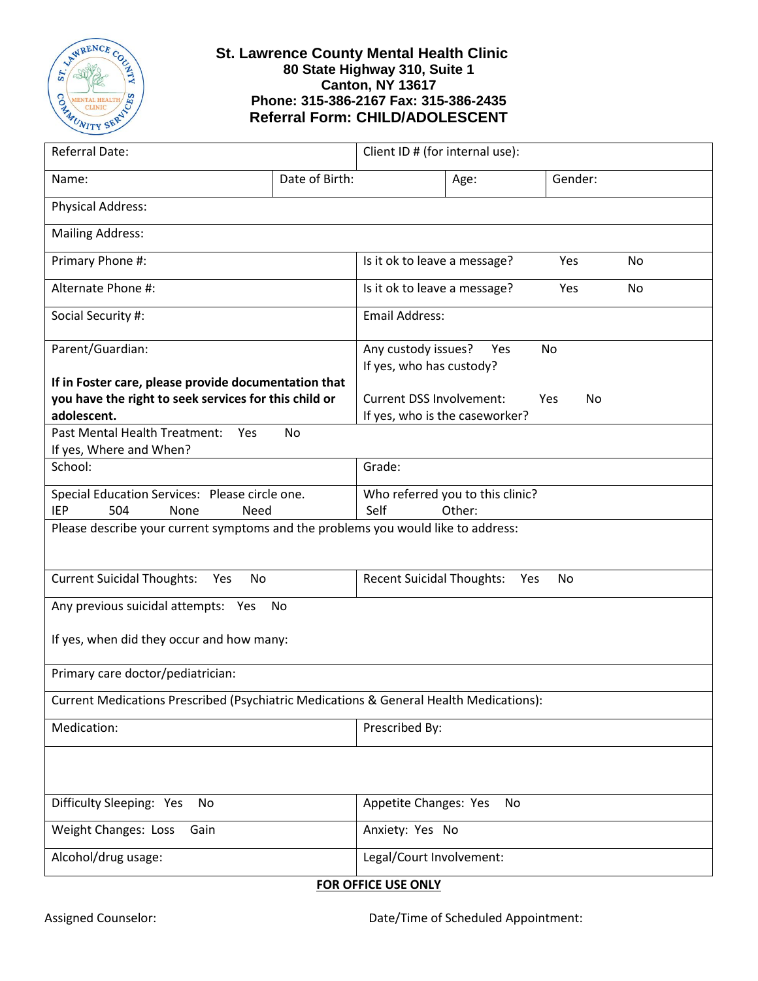

## **St. Lawrence County Mental Health Clinic 80 State Highway 310, Suite 1 Canton, NY 13617 Phone: 315-386-2167 Fax: 315-386-2435 Referral Form: CHILD/ADOLESCENT**

| Referral Date:                                                                                                                                                           |                | Client ID # (for internal use):                                   |      |           |  |
|--------------------------------------------------------------------------------------------------------------------------------------------------------------------------|----------------|-------------------------------------------------------------------|------|-----------|--|
| Name:                                                                                                                                                                    | Date of Birth: |                                                                   | Age: | Gender:   |  |
| <b>Physical Address:</b>                                                                                                                                                 |                |                                                                   |      |           |  |
| <b>Mailing Address:</b>                                                                                                                                                  |                |                                                                   |      |           |  |
| Primary Phone #:                                                                                                                                                         |                | Is it ok to leave a message?                                      |      | Yes<br>No |  |
| Alternate Phone #:                                                                                                                                                       |                | Is it ok to leave a message?                                      |      | Yes<br>No |  |
| Social Security #:                                                                                                                                                       |                | <b>Email Address:</b>                                             |      |           |  |
| Parent/Guardian:                                                                                                                                                         |                | Any custody issues?<br>If yes, who has custody?                   | Yes  | No        |  |
| If in Foster care, please provide documentation that<br>you have the right to seek services for this child or<br>adolescent.<br>Past Mental Health Treatment:<br>Yes     | <b>No</b>      | <b>Current DSS Involvement:</b><br>If yes, who is the caseworker? |      | Yes<br>No |  |
| If yes, Where and When?<br>School:                                                                                                                                       |                | Grade:                                                            |      |           |  |
| Special Education Services: Please circle one.<br>504<br><b>IEP</b><br>None<br>Need<br>Please describe your current symptoms and the problems you would like to address: |                | Who referred you to this clinic?<br>Self<br>Other:                |      |           |  |
|                                                                                                                                                                          |                |                                                                   |      |           |  |
| <b>Current Suicidal Thoughts:</b><br>Yes<br>No                                                                                                                           |                | <b>Recent Suicidal Thoughts:</b>                                  |      | Yes<br>No |  |
| Any previous suicidal attempts: Yes<br>No                                                                                                                                |                |                                                                   |      |           |  |
| If yes, when did they occur and how many:                                                                                                                                |                |                                                                   |      |           |  |
| Primary care doctor/pediatrician:                                                                                                                                        |                |                                                                   |      |           |  |
| Current Medications Prescribed (Psychiatric Medications & General Health Medications):                                                                                   |                |                                                                   |      |           |  |
| Medication:                                                                                                                                                              |                | Prescribed By:                                                    |      |           |  |
|                                                                                                                                                                          |                |                                                                   |      |           |  |
| Difficulty Sleeping: Yes<br>No                                                                                                                                           |                | Appetite Changes: Yes<br>No                                       |      |           |  |
| Weight Changes: Loss<br>Gain                                                                                                                                             |                | Anxiety: Yes No                                                   |      |           |  |
| Alcohol/drug usage:                                                                                                                                                      |                | Legal/Court Involvement:                                          |      |           |  |

**FOR OFFICE USE ONLY**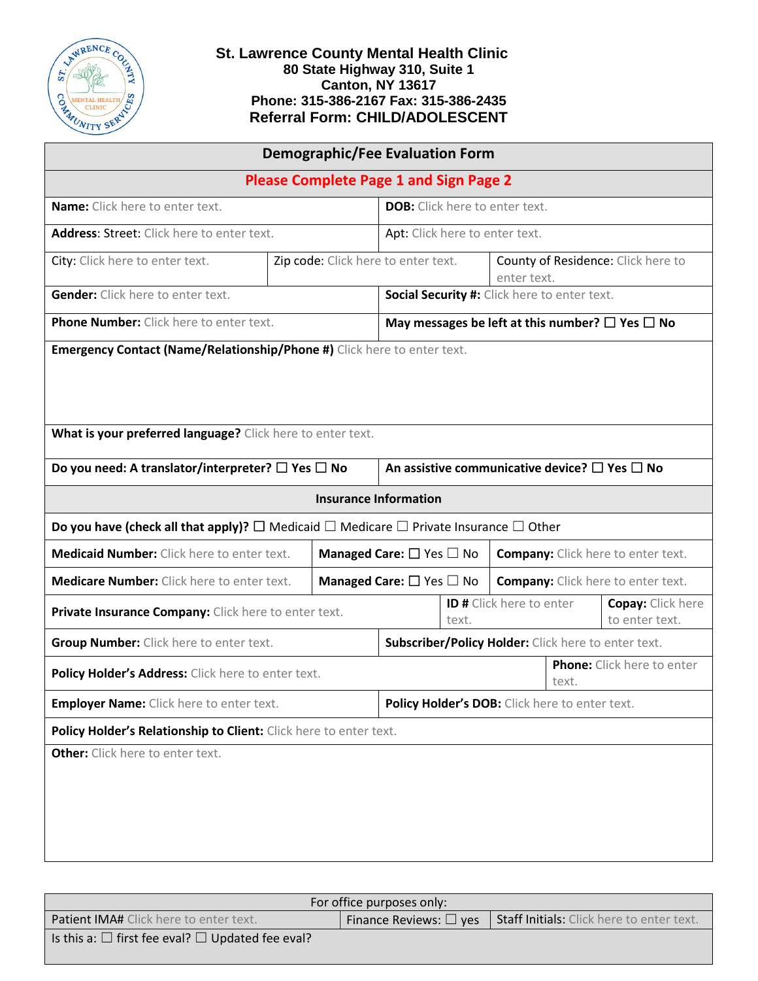

## **St. Lawrence County Mental Health Clinic 80 State Highway 310, Suite 1 Canton, NY 13617 Phone: 315-386-2167 Fax: 315-386-2435 Referral Form: CHILD/ADOLESCENT**

| <b>Demographic/Fee Evaluation Form</b>                                                                                |                                     |                                                                                       |                                                                 |                                                   |                                            |  |
|-----------------------------------------------------------------------------------------------------------------------|-------------------------------------|---------------------------------------------------------------------------------------|-----------------------------------------------------------------|---------------------------------------------------|--------------------------------------------|--|
| <b>Please Complete Page 1 and Sign Page 2</b>                                                                         |                                     |                                                                                       |                                                                 |                                                   |                                            |  |
| Name: Click here to enter text.                                                                                       |                                     |                                                                                       | <b>DOB:</b> Click here to enter text.                           |                                                   |                                            |  |
| <b>Address: Street: Click here to enter text.</b>                                                                     |                                     |                                                                                       | Apt: Click here to enter text.                                  |                                                   |                                            |  |
| City: Click here to enter text.                                                                                       | Zip code: Click here to enter text. |                                                                                       |                                                                 | County of Residence: Click here to<br>enter text. |                                            |  |
| <b>Gender:</b> Click here to enter text.                                                                              |                                     |                                                                                       | Social Security #: Click here to enter text.                    |                                                   |                                            |  |
| <b>Phone Number:</b> Click here to enter text.                                                                        |                                     |                                                                                       | May messages be left at this number? $\square$ Yes $\square$ No |                                                   |                                            |  |
| Emergency Contact (Name/Relationship/Phone #) Click here to enter text.                                               |                                     |                                                                                       |                                                                 |                                                   |                                            |  |
| What is your preferred language? Click here to enter text.                                                            |                                     |                                                                                       |                                                                 |                                                   |                                            |  |
| Do you need: A translator/interpreter? $\square$ Yes $\square$ No                                                     |                                     |                                                                                       | An assistive communicative device? $\square$ Yes $\square$ No   |                                                   |                                            |  |
|                                                                                                                       |                                     | <b>Insurance Information</b>                                                          |                                                                 |                                                   |                                            |  |
| Do you have (check all that apply)? $\square$ Medicaid $\square$ Medicare $\square$ Private Insurance $\square$ Other |                                     |                                                                                       |                                                                 |                                                   |                                            |  |
| <b>Medicaid Number:</b> Click here to enter text.                                                                     |                                     | Managed Care: $\square$ Yes $\square$ No<br><b>Company:</b> Click here to enter text. |                                                                 |                                                   |                                            |  |
| <b>Medicare Number:</b> Click here to enter text.                                                                     |                                     | <b>Managed Care:</b> $\Box$ Yes $\Box$ No                                             |                                                                 | <b>Company:</b> Click here to enter text.         |                                            |  |
| Private Insurance Company: Click here to enter text.                                                                  |                                     |                                                                                       | text.                                                           | <b>ID #</b> Click here to enter                   | <b>Copay: Click here</b><br>to enter text. |  |
| <b>Group Number:</b> Click here to enter text.                                                                        |                                     |                                                                                       | Subscriber/Policy Holder: Click here to enter text.             |                                                   |                                            |  |
| Policy Holder's Address: Click here to enter text.                                                                    |                                     |                                                                                       | Phone: Click here to enter<br>text.                             |                                                   |                                            |  |
| Employer Name: Click here to enter text.                                                                              |                                     |                                                                                       | Policy Holder's DOB: Click here to enter text.                  |                                                   |                                            |  |
| Policy Holder's Relationship to Client: Click here to enter text.                                                     |                                     |                                                                                       |                                                                 |                                                   |                                            |  |
| Other: Click here to enter text.                                                                                      |                                     |                                                                                       |                                                                 |                                                   |                                            |  |

| For office purposes only:                                        |                                |                                                  |  |  |
|------------------------------------------------------------------|--------------------------------|--------------------------------------------------|--|--|
| <b>Patient IMA#</b> Click here to enter text.                    | Finance Reviews: $\square$ yes | <b>Staff Initials:</b> Click here to enter text. |  |  |
| Is this a: $\square$ first fee eval? $\square$ Updated fee eval? |                                |                                                  |  |  |